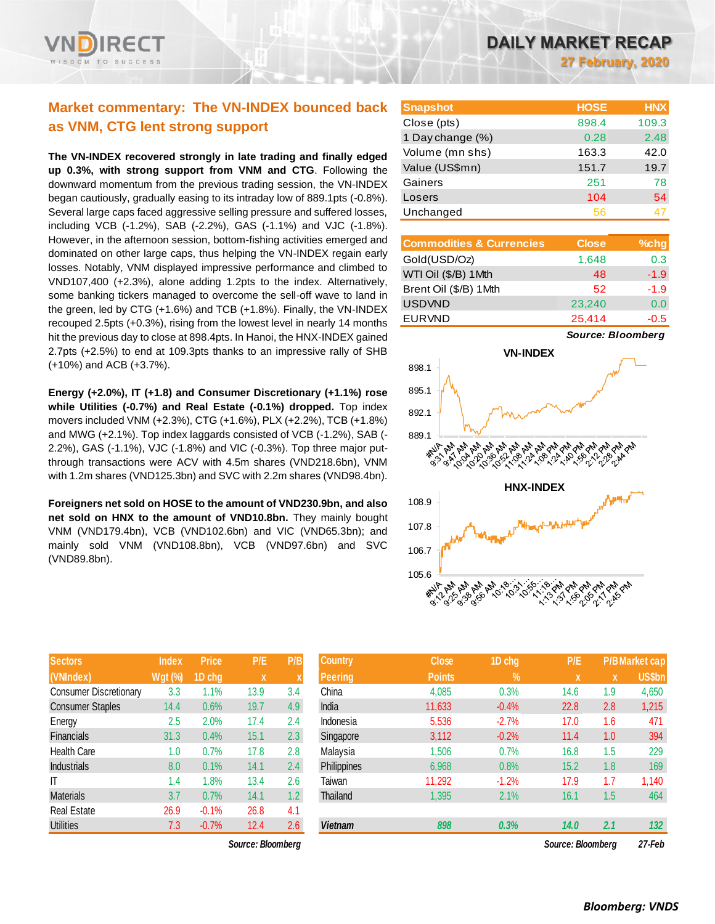# **Market commentary: The VN-INDEX bounced back as VNM, CTG lent strong support**

**The VN-INDEX recovered strongly in late trading and finally edged up 0.3%, with strong support from VNM and CTG**. Following the downward momentum from the previous trading session, the VN-INDEX began cautiously, gradually easing to its intraday low of 889.1pts (-0.8%). Several large caps faced aggressive selling pressure and suffered losses, including VCB (-1.2%), SAB (-2.2%), GAS (-1.1%) and VJC (-1.8%). However, in the afternoon session, bottom-fishing activities emerged and dominated on other large caps, thus helping the VN-INDEX regain early losses. Notably, VNM displayed impressive performance and climbed to VND107,400 (+2.3%), alone adding 1.2pts to the index. Alternatively, some banking tickers managed to overcome the sell-off wave to land in the green, led by CTG (+1.6%) and TCB (+1.8%). Finally, the VN-INDEX recouped 2.5pts (+0.3%), rising from the lowest level in nearly 14 months hit the previous day to close at 898.4pts. In Hanoi, the HNX-INDEX gained 2.7pts (+2.5%) to end at 109.3pts thanks to an impressive rally of SHB (+10%) and ACB (+3.7%).

**Energy (+2.0%), IT (+1.8) and Consumer Discretionary (+1.1%) rose while Utilities (-0.7%) and Real Estate (-0.1%) dropped.** Top index movers included VNM (+2.3%), CTG (+1.6%), PLX (+2.2%), TCB (+1.8%) and MWG (+2.1%). Top index laggards consisted of VCB (-1.2%), SAB (- 2.2%), GAS (-1.1%), VJC (-1.8%) and VIC (-0.3%). Top three major putthrough transactions were ACV with 4.5m shares (VND218.6bn), VNM with 1.2m shares (VND125.3bn) and SVC with 2.2m shares (VND98.4bn).

**Foreigners net sold on HOSE to the amount of VND230.9bn, and also net sold on HNX to the amount of VND10.8bn.** They mainly bought VNM (VND179.4bn), VCB (VND102.6bn) and VIC (VND65.3bn); and mainly sold VNM (VND108.8bn), VCB (VND97.6bn) and SVC (VND89.8bn).

| <b>Sectors</b>                | <b>Index</b>   | <b>Price</b> | P/E  | P/B |
|-------------------------------|----------------|--------------|------|-----|
| (VNIndex)                     | <b>Wgt (%)</b> | 1D chg       | X    | X   |
| <b>Consumer Discretionary</b> | 3.3            | 1.1%         | 13.9 | 3.4 |
| <b>Consumer Staples</b>       | 14.4           | 0.6%         | 19.7 | 4.9 |
| Energy                        | 2.5            | 2.0%         | 17.4 | 2.4 |
| <b>Financials</b>             | 31.3           | 0.4%         | 15.1 | 2.3 |
| <b>Health Care</b>            | 1.0            | 0.7%         | 17.8 | 2.8 |
| <b>Industrials</b>            | 8.0            | 0.1%         | 14.1 | 2.4 |
| IT                            | 1.4            | 1.8%         | 13.4 | 2.6 |
| <b>Materials</b>              | 3.7            | 0.7%         | 14.1 | 1.2 |
| <b>Real Estate</b>            | 26.9           | $-0.1%$      | 26.8 | 4.1 |
| <b>Utilities</b>              | 7.3            | $-0.7%$      | 12.4 | 2.6 |

 $Source: Bloomberg$ 

| <b>Snapshot</b>  | <b>HOSE</b> | <b>HNX</b> |
|------------------|-------------|------------|
| Close (pts)      | 898.4       | 109.3      |
| 1 Day change (%) | 0.28        | 2.48       |
| Volume (mn shs)  | 163.3       | 42.0       |
| Value (US\$mn)   | 151.7       | 19.7       |
| Gainers          | 251         | 78         |
| Losers           | 104         | 54         |
| Unchanged        | 56          |            |

| <b>Commodities &amp; Currencies</b> | <b>Close</b> | $%$ chg |
|-------------------------------------|--------------|---------|
| Gold(USD/Oz)                        | 1,648        | 0.3     |
| WTI Oil (\$/B) 1Mth                 | 48           | $-1.9$  |
| Brent Oil (\$/B) 1Mth               | 52           | $-1.9$  |
| <b>USDVND</b>                       | 23,240       | 0.0     |
| <b>EURVND</b>                       | 25,414       | $-0.5$  |

*Source: Bloomberg*



| <b>Sectors</b>          | <b>Index</b>   | <b>Price</b> | P/E               | P/B              | <b>Country</b> | <b>Close</b>  | 1D chg  | P/E               |     | <b>P/B Market cap</b> |
|-------------------------|----------------|--------------|-------------------|------------------|----------------|---------------|---------|-------------------|-----|-----------------------|
| (VNIndex)               | <b>Wgt (%)</b> | 1D chg       | $\mathbf x$       | X                | <b>Peering</b> | <b>Points</b> | $\%$    | $\mathbf{x}$      | X   | <b>US\$bn</b>         |
| Consumer Discretionary  | 3.3            | $1.1\%$      | 13.9              | 3.4              | China          | 4,085         | 0.3%    | 14.6              | 1.9 | 4,650                 |
| <b>Consumer Staples</b> | 14.4           | 0.6%         | 19.7              | 4.9              | India          | 11,633        | $-0.4%$ | 22.8              | 2.8 | 1,215                 |
| Energy                  | 2.5            | 2.0%         | 17.4              | 2.4              | Indonesia      | 5,536         | $-2.7%$ | 17.0              | 1.6 | 471                   |
| Financials              | 31.3           | 0.4%         | 15.1              | 2.3              | Singapore      | 3,112         | $-0.2%$ | 11.4              | 1.0 | 394                   |
| <b>Health Care</b>      | 1.0            | 0.7%         | 17.8              | 2.8              | Malaysia       | 1,506         | 0.7%    | 16.8              | 1.5 | 229                   |
| <b>Industrials</b>      | 8.0            | 0.1%         | 14.1              | 2.4              | Philippines    | 6,968         | 0.8%    | 15.2              | 1.8 | 169                   |
| ΙT                      | 1.4            | .8%          | 13.4              | 2.6              | Taiwan         | 11,292        | $-1.2%$ | 17.9              | 1.7 | 1,140                 |
| <b>Materials</b>        | 3.7            | 0.7%         | 14.1              | 1.2 <sub>2</sub> | Thailand       | 1,395         | 2.1%    | 16.1              | 1.5 | 464                   |
| Real Estate             | 26.9           | $-0.1%$      | 26.8              | 4.1              |                |               |         |                   |     |                       |
| <b>Utilities</b>        | 7.3            | $-0.7%$      | 12.4              | 2.6              | <b>Vietnam</b> | 898           | 0.3%    | 14.0              | 2.1 | 132                   |
|                         |                |              | Source: Bloomberg |                  |                |               |         | Source: Bloombera |     | 27-Feb                |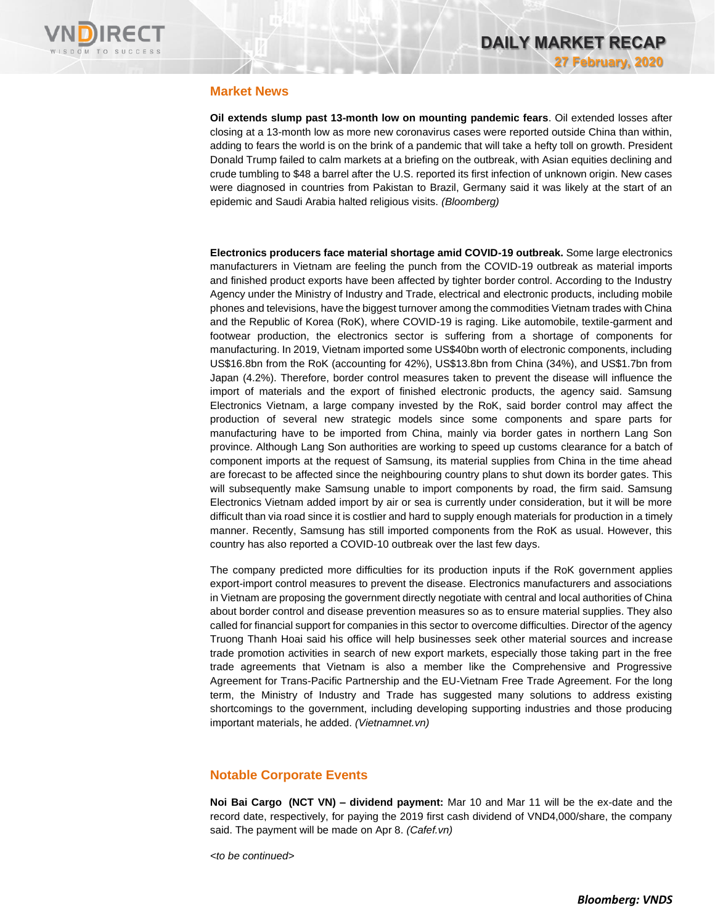

# **Market News**

**Oil extends slump past 13-month low on mounting pandemic fears**. Oil extended losses after closing at a 13-month low as more new coronavirus cases were reported outside China than within, adding to fears the world is on the brink of a pandemic that will take a hefty toll on growth. President Donald Trump failed to calm markets at a briefing on the outbreak, with Asian equities declining and crude tumbling to \$48 a barrel after the U.S. reported its first infection of unknown origin. New cases were diagnosed in countries from Pakistan to Brazil, Germany said it was likely at the start of an epidemic and Saudi Arabia halted religious visits. *(Bloomberg)*

**Electronics producers face material shortage amid COVID-19 outbreak.** Some large electronics manufacturers in Vietnam are feeling the punch from the COVID-19 outbreak as material imports and finished product exports have been affected by tighter border control. According to the Industry Agency under the Ministry of Industry and Trade, electrical and electronic products, including mobile phones and televisions, have the biggest turnover among the commodities Vietnam trades with China and the Republic of Korea (RoK), where COVID-19 is raging. Like automobile, textile-garment and footwear production, the electronics sector is suffering from a shortage of components for manufacturing. In 2019, Vietnam imported some US\$40bn worth of electronic components, including US\$16.8bn from the RoK (accounting for 42%), US\$13.8bn from China (34%), and US\$1.7bn from Japan (4.2%). Therefore, border control measures taken to prevent the disease will influence the import of materials and the export of finished electronic products, the agency said. Samsung Electronics Vietnam, a large company invested by the RoK, said border control may affect the production of several new strategic models since some components and spare parts for manufacturing have to be imported from China, mainly via border gates in northern Lang Son province. Although Lang Son authorities are working to speed up customs clearance for a batch of component imports at the request of Samsung, its material supplies from China in the time ahead are forecast to be affected since the neighbouring country plans to shut down its border gates. This will subsequently make Samsung unable to import components by road, the firm said. Samsung Electronics Vietnam added import by air or sea is currently under consideration, but it will be more difficult than via road since it is costlier and hard to supply enough materials for production in a timely manner. Recently, Samsung has still imported components from the RoK as usual. However, this country has also reported a COVID-10 outbreak over the last few days.

The company predicted more difficulties for its production inputs if the RoK government applies export-import control measures to prevent the disease. Electronics manufacturers and associations in Vietnam are proposing the government directly negotiate with central and local authorities of China about border control and disease prevention measures so as to ensure material supplies. They also called for financial support for companies in this sector to overcome difficulties. Director of the agency Truong Thanh Hoai said his office will help businesses seek other material sources and increase trade promotion activities in search of new export markets, especially those taking part in the free trade agreements that Vietnam is also a member like the Comprehensive and Progressive Agreement for Trans-Pacific Partnership and the EU-Vietnam Free Trade Agreement. For the long term, the Ministry of Industry and Trade has suggested many solutions to address existing shortcomings to the government, including developing supporting industries and those producing important materials, he added. *(Vietnamnet.vn)*

## **Notable Corporate Events**

**Noi Bai Cargo (NCT VN) – dividend payment:** Mar 10 and Mar 11 will be the ex-date and the record date, respectively, for paying the 2019 first cash dividend of VND4,000/share, the company said. The payment will be made on Apr 8. *(Cafef.vn)*

*<to be continued>*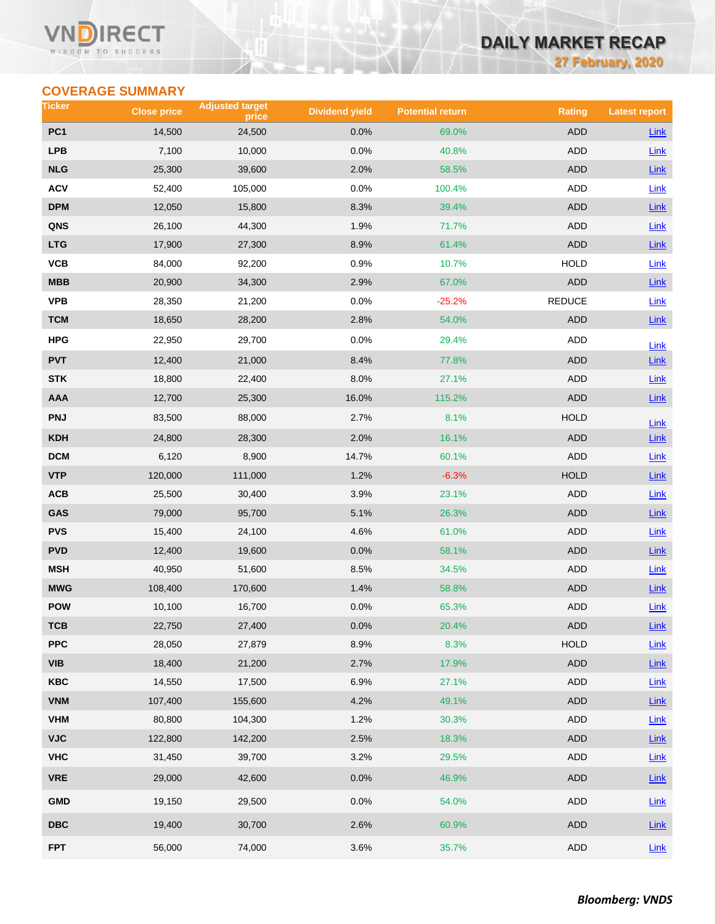### VN **RECT** WISDOM TO SUCCESS

# **DAILY MARKET RECAP**

**27 February, 2020**

# **COVERAGE SUMMARY**

| Ticker                  | <b>Close price</b> | <b>Adjusted target</b><br>price | <b>Dividend yield</b> | <b>Potential return</b> | <b>Rating</b> | <b>Latest report</b> |
|-------------------------|--------------------|---------------------------------|-----------------------|-------------------------|---------------|----------------------|
| PC <sub>1</sub>         | 14,500             | 24,500                          | 0.0%                  | 69.0%                   | <b>ADD</b>    | <b>Link</b>          |
| <b>LPB</b>              | 7,100              | 10,000                          | 0.0%                  | 40.8%                   | <b>ADD</b>    | Link                 |
| <b>NLG</b>              | 25,300             | 39,600                          | 2.0%                  | 58.5%                   | <b>ADD</b>    | Link                 |
| <b>ACV</b>              | 52,400             | 105,000                         | 0.0%                  | 100.4%                  | ADD           | <b>Link</b>          |
| <b>DPM</b>              | 12,050             | 15,800                          | 8.3%                  | 39.4%                   | <b>ADD</b>    | Link                 |
| QNS                     | 26,100             | 44,300                          | 1.9%                  | 71.7%                   | ADD           | Link                 |
| <b>LTG</b>              | 17,900             | 27,300                          | 8.9%                  | 61.4%                   | <b>ADD</b>    | Link                 |
| VCB                     | 84,000             | 92,200                          | 0.9%                  | 10.7%                   | <b>HOLD</b>   | Link                 |
| <b>MBB</b>              | 20,900             | 34,300                          | 2.9%                  | 67.0%                   | <b>ADD</b>    | $Link$               |
| <b>VPB</b>              | 28,350             | 21,200                          | 0.0%                  | $-25.2%$                | <b>REDUCE</b> | Link                 |
| <b>TCM</b>              | 18,650             | 28,200                          | 2.8%                  | 54.0%                   | ADD           | Link                 |
| <b>HPG</b>              | 22,950             | 29,700                          | 0.0%                  | 29.4%                   | ADD           | Link                 |
| <b>PVT</b>              | 12,400             | 21,000                          | 8.4%                  | 77.8%                   | <b>ADD</b>    | <b>Link</b>          |
| <b>STK</b>              | 18,800             | 22,400                          | 8.0%                  | 27.1%                   | ADD           | <b>Link</b>          |
| AAA                     | 12,700             | 25,300                          | 16.0%                 | 115.2%                  | <b>ADD</b>    | $Link$               |
| <b>PNJ</b>              | 83,500             | 88,000                          | 2.7%                  | 8.1%                    | <b>HOLD</b>   | Link                 |
| <b>KDH</b>              | 24,800             | 28,300                          | 2.0%                  | 16.1%                   | <b>ADD</b>    | $Link$               |
| <b>DCM</b>              | 6,120              | 8,900                           | 14.7%                 | 60.1%                   | ADD           | Link                 |
| <b>VTP</b>              | 120,000            | 111,000                         | 1.2%                  | $-6.3%$                 | <b>HOLD</b>   | $Link$               |
| ACB                     | 25,500             | 30,400                          | 3.9%                  | 23.1%                   | ADD           | <b>Link</b>          |
| GAS                     | 79,000             | 95,700                          | 5.1%                  | 26.3%                   | <b>ADD</b>    | $Link$               |
| <b>PVS</b>              | 15,400             | 24,100                          | 4.6%                  | 61.0%                   | ADD           | Link                 |
| <b>PVD</b>              | 12,400             | 19,600                          | 0.0%                  | 58.1%                   | ADD           | <b>Link</b>          |
| <b>MSH</b>              | 40,950             | 51,600                          | 8.5%                  | 34.5%                   | <b>ADD</b>    | Link                 |
| <b>MWG</b>              | 108,400            | 170,600                         | 1.4%                  | 58.8%                   | <b>ADD</b>    | Link                 |
| <b>POW</b>              | 10,100             | 16,700                          | 0.0%                  | 65.3%                   | ADD           | Link                 |
| тсв                     | 22,750             | 27,400                          | 0.0%                  | 20.4%                   | ADD           | $Link$               |
| <b>PPC</b>              | 28,050             | 27,879                          | 8.9%                  | 8.3%                    | <b>HOLD</b>   | Link                 |
| <b>VIB</b>              | 18,400             | 21,200                          | 2.7%                  | 17.9%                   | ADD           | $Link$               |
| <b>KBC</b>              | 14,550             | 17,500                          | 6.9%                  | 27.1%                   | ADD           | Link                 |
| <b>VNM</b>              | 107,400            | 155,600                         | 4.2%                  | 49.1%                   | <b>ADD</b>    | $Link$               |
| <b>VHM</b>              | 80,800             | 104,300                         | 1.2%                  | 30.3%                   | ADD           | Link                 |
| <b>VJC</b>              | 122,800            | 142,200                         | 2.5%                  | 18.3%                   | ADD           | Link                 |
| <b>VHC</b>              | 31,450             | 39,700                          | 3.2%                  | 29.5%                   | ADD           | Link                 |
| <b>VRE</b>              | 29,000             | 42,600                          | 0.0%                  | 46.9%                   | ADD           | <b>Link</b>          |
| <b>GMD</b>              | 19,150             | 29,500                          | 0.0%                  | 54.0%                   | ADD           | Link                 |
| $\overline{\text{DBC}}$ | 19,400             | 30,700                          | 2.6%                  | 60.9%                   | ADD           | $Link$               |
| <b>FPT</b>              | 56,000             | 74,000                          | 3.6%                  | 35.7%                   | ADD           | $Link$               |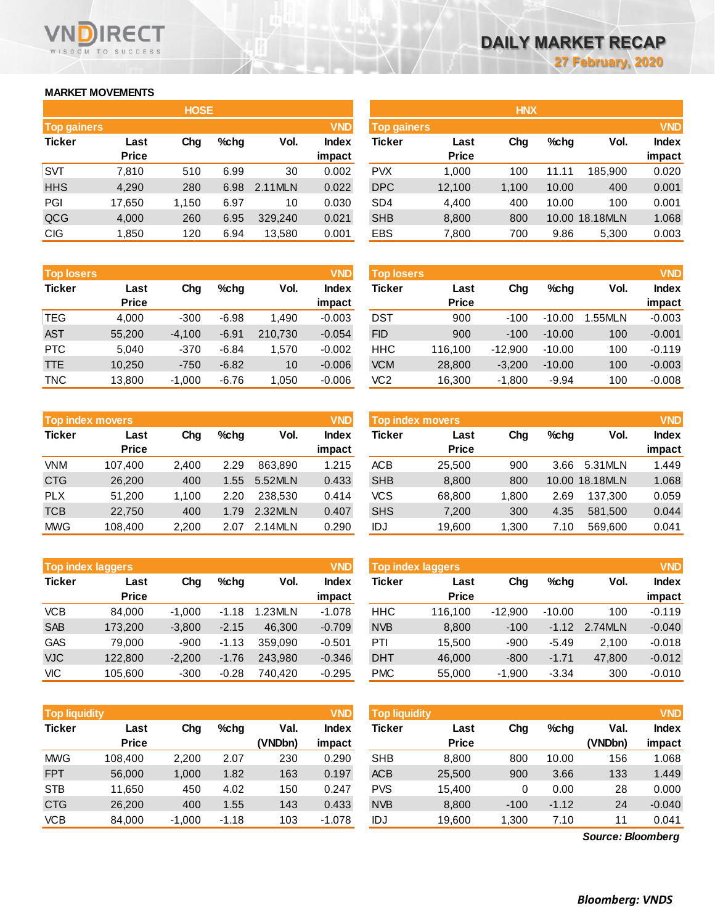## **MARKET MOVEMENTS**

WISDOM TO SUCCESS

**RECT** 

**VN** n

|                    |              | <b>HOSE</b> |         |         |              |                    |              | <b>HNX</b> |       |                |        |
|--------------------|--------------|-------------|---------|---------|--------------|--------------------|--------------|------------|-------|----------------|--------|
| <b>Top gainers</b> |              |             |         |         | <b>VND</b>   | <b>Top gainers</b> | <b>VND</b>   |            |       |                |        |
| <b>Ticker</b>      | Last         | Chg         | $%$ chg | Vol.    | <b>Index</b> | Ticker             | Last         | Chg        | %chg  | Vol.           | Index  |
|                    | <b>Price</b> |             |         |         | impact       |                    | <b>Price</b> |            |       |                | impact |
| <b>SVT</b>         | 7,810        | 510         | 6.99    | 30      | 0.002        | <b>PVX</b>         | 1.000        | 100        | 11.11 | 185.900        | 0.020  |
| <b>HHS</b>         | 4,290        | 280         | 6.98    | 2.11MLN | 0.022        | <b>DPC</b>         | 12,100       | 1,100      | 10.00 | 400            | 0.001  |
| <b>PGI</b>         | 17,650       | 1,150       | 6.97    | 10      | 0.030        | SD <sub>4</sub>    | 4,400        | 400        | 10.00 | 100            | 0.001  |
| QCG                | 4,000        | 260         | 6.95    | 329.240 | 0.021        | <b>SHB</b>         | 8,800        | 800        |       | 10.00 18.18MLN | 1.068  |
| <b>CIG</b>         | 1,850        | 120         | 6.94    | 13,580  | 0.001        | <b>EBS</b>         | 7,800        | 700        | 9.86  | 5,300          | 0.003  |

| <b>Top losers</b> |                      |          |         |         | <b>VND</b>             | <b>Top losers</b> |                      |           |          |        | <b>VND</b>      |  |  |
|-------------------|----------------------|----------|---------|---------|------------------------|-------------------|----------------------|-----------|----------|--------|-----------------|--|--|
| <b>Ticker</b>     | Last<br><b>Price</b> | Chg      | $%$ chg | Vol.    | <b>Index</b><br>impact | Ticker            | Last<br><b>Price</b> | Chg       | $%$ chg  | Vol.   | Index<br>impact |  |  |
| <b>TEG</b>        | 4,000                | $-300$   | $-6.98$ | 1.490   | $-0.003$               | <b>DST</b>        | 900                  | $-100$    | $-10.00$ | .55MLN | $-0.003$        |  |  |
| <b>AST</b>        | 55,200               | $-4.100$ | $-6.91$ | 210.730 | $-0.054$               | <b>FID</b>        | 900                  | $-100$    | $-10.00$ | 100    | $-0.001$        |  |  |
| <b>PTC</b>        | 5.040                | $-370$   | $-6.84$ | 1.570   | $-0.002$               | HHC               | 116.100              | $-12.900$ | $-10.00$ | 100    | $-0.119$        |  |  |
| <b>TTE</b>        | 10,250               | $-750$   | $-6.82$ | 10      | $-0.006$               | <b>VCM</b>        | 28,800               | $-3,200$  | $-10.00$ | 100    | $-0.003$        |  |  |
| <b>TNC</b>        | 13.800               | $-1.000$ | $-6.76$ | 1.050   | $-0.006$               | VC2               | 16.300               | $-1.800$  | $-9.94$  | 100    | $-0.008$        |  |  |

|               | <b>Top index movers</b> |       |         |         | <b>VND</b>   |
|---------------|-------------------------|-------|---------|---------|--------------|
| <b>Ticker</b> | Last                    | Cha   | $%$ chg | Vol.    | <b>Index</b> |
|               | <b>Price</b>            |       |         |         | impact       |
| <b>VNM</b>    | 107,400                 | 2,400 | 2.29    | 863.890 | 1.215        |
| <b>CTG</b>    | 26,200                  | 400   | 1.55    | 5.52MLN | 0.433        |
| PLX           | 51,200                  | 1,100 | 2.20    | 238.530 | 0.414        |
| <b>TCB</b>    | 22,750                  | 400   | 1.79    | 2.32MLN | 0.407        |
| <b>MWG</b>    | 108,400                 | 2,200 | 2.07    | 2.14MLN | 0.290        |

|               | <b>Top index laggers</b> |          |         |         |              |  |  |  |  |  |  |  |
|---------------|--------------------------|----------|---------|---------|--------------|--|--|--|--|--|--|--|
| <b>Ticker</b> | Last                     | Cha      | %chq    | Vol.    | <b>Index</b> |  |  |  |  |  |  |  |
|               | <b>Price</b>             |          |         |         | impact       |  |  |  |  |  |  |  |
| <b>VCB</b>    | 84,000                   | $-1,000$ | $-1.18$ | 1.23MLN | $-1.078$     |  |  |  |  |  |  |  |
| <b>SAB</b>    | 173,200                  | $-3,800$ | $-2.15$ | 46,300  | $-0.709$     |  |  |  |  |  |  |  |
| <b>GAS</b>    | 79,000                   | $-900$   | $-1.13$ | 359,090 | $-0.501$     |  |  |  |  |  |  |  |
| <b>VJC</b>    | 122,800                  | $-2,200$ | $-1.76$ | 243,980 | $-0.346$     |  |  |  |  |  |  |  |
| VIC           | 105,600                  | $-300$   | $-0.28$ | 740.420 | $-0.295$     |  |  |  |  |  |  |  |

| <b>Top liquidity</b> |              |          |         |         | <b>VND</b> | <b>Top liquidity</b> |              |        |         |                   | <b>VND</b>   |
|----------------------|--------------|----------|---------|---------|------------|----------------------|--------------|--------|---------|-------------------|--------------|
| <b>Ticker</b>        | Last         | Chg      | $%$ chg | Val.    | Index      | <b>Ticker</b>        | Last         | Chg    | $%$ chg | Val.              | <b>Index</b> |
|                      | <b>Price</b> |          |         | (VNDbn) | impact     |                      | <b>Price</b> |        |         | (VNDbn)           | impact       |
| <b>MWG</b>           | 108.400      | 2,200    | 2.07    | 230     | 0.290      | <b>SHB</b>           | 8.800        | 800    | 10.00   | 156               | 1.068        |
| <b>FPT</b>           | 56,000       | 1,000    | 1.82    | 163     | 0.197      | <b>ACB</b>           | 25,500       | 900    | 3.66    | 133               | 1.449        |
| <b>STB</b>           | 11,650       | 450      | 4.02    | 150     | 0.247      | <b>PVS</b>           | 15.400       | 0      | 0.00    | 28                | 0.000        |
| <b>CTG</b>           | 26,200       | 400      | 1.55    | 143     | 0.433      | <b>NVB</b>           | 8,800        | $-100$ | $-1.12$ | 24                | $-0.040$     |
| <b>VCB</b>           | 84,000       | $-1,000$ | $-1.18$ | 103     | $-1.078$   | IDJ                  | 19,600       | 300. ا | 7.10    | 11                | 0.041        |
|                      |              |          |         |         |            |                      |              |        |         | Source: Bloomberg |              |

*Source: Bloomberg*

|             |              | <b>HOSE</b> |         |         |              |                    |              | <b>HNX</b> |         |                |              |
|-------------|--------------|-------------|---------|---------|--------------|--------------------|--------------|------------|---------|----------------|--------------|
| Top gainers |              |             |         |         | <b>VND</b>   | <b>Top gainers</b> |              |            |         |                | <b>VND</b>   |
| Ticker      | Last         | Chg         | $%$ chg | Vol.    | <b>Index</b> | Ticker             | Last         | Chg        | $%$ chg | Vol.           | <b>Index</b> |
|             | <b>Price</b> |             |         |         | impact       |                    | <b>Price</b> |            |         |                | impact       |
| SVT         | 7,810        | 510         | 6.99    | 30      | 0.002        | <b>PVX</b>         | 1,000        | 100        | 11.11   | 185,900        | 0.020        |
| <b>HHS</b>  | 4,290        | 280         | 6.98    | 2.11MLN | 0.022        | <b>DPC</b>         | 12,100       | 1,100      | 10.00   | 400            | 0.001        |
| PGI         | 17,650       | 1.150       | 6.97    | 10      | 0.030        | SD <sub>4</sub>    | 4,400        | 400        | 10.00   | 100            | 0.001        |
| QCG         | 4,000        | 260         | 6.95    | 329,240 | 0.021        | <b>SHB</b>         | 8,800        | 800        |         | 10.00 18.18MLN | 1.068        |
| <b>CIG</b>  | 1,850        | 120         | 6.94    | 13,580  | 0.001        | EBS                | 7,800        | 700        | 9.86    | 5,300          | 0.003        |
|             |              |             |         |         |              |                    |              |            |         |                |              |

| <b>Top losers</b> |              |          |         |         | <b>VND</b>   | <b>Top losers</b> |              |           |          |        | <b>VND</b>   |
|-------------------|--------------|----------|---------|---------|--------------|-------------------|--------------|-----------|----------|--------|--------------|
| Ticker            | Last         | Chg      | $%$ chq | Vol.    | <b>Index</b> | Ticker            | Last         | Chg       | %chq     | Vol.   | <b>Index</b> |
|                   | <b>Price</b> |          |         |         | impact       |                   | <b>Price</b> |           |          |        | impact       |
| TEG               | 4.000        | $-300$   | $-6.98$ | 1.490   | $-0.003$     | DST               | 900          | $-100$    | $-10.00$ | .55MLN | $-0.003$     |
| AST               | 55,200       | $-4.100$ | $-6.91$ | 210.730 | $-0.054$     | <b>FID</b>        | 900          | $-100$    | $-10.00$ | 100    | $-0.001$     |
| PTC               | 5.040        | $-370$   | $-6.84$ | .570    | $-0.002$     | HHC               | 116.100      | $-12.900$ | $-10.00$ | 100    | $-0.119$     |
| TTE               | 10.250       | $-750$   | $-6.82$ | 10      | $-0.006$     | <b>VCM</b>        | 28,800       | $-3.200$  | $-10.00$ | 100    | $-0.003$     |
| TNC               | 13,800       | $-1,000$ | $-6.76$ | .050    | $-0.006$     | VC2               | 16,300       | $-1,800$  | $-9.94$  | 100    | $-0.008$     |

|            | <b>Top index movers</b> |       |      |         | <b>VND</b>   | Top index movers |              |       |         |                |              |
|------------|-------------------------|-------|------|---------|--------------|------------------|--------------|-------|---------|----------------|--------------|
|            |                         |       |      |         |              |                  |              |       |         |                | <b>VND</b>   |
| Ticker     | Last                    | Chg   | %chq | Vol.    | <b>Index</b> | Ticker           | Last         | Chg   | $%$ chq | Vol.           | <b>Index</b> |
|            | <b>Price</b>            |       |      |         | impact       |                  | <b>Price</b> |       |         |                | impact       |
| VNM        | 107.400                 | 2.400 | 2.29 | 863.890 | 1.215        | <b>ACB</b>       | 25.500       | 900   | 3.66    | 5.31 MLN       | 1.449        |
| <b>CTG</b> | 26,200                  | 400   | 1.55 | 5.52MLN | 0.433        | <b>SHB</b>       | 8,800        | 800   |         | 10.00 18.18MLN | 1.068        |
| <b>PLX</b> | 51.200                  | 1.100 | 2.20 | 238,530 | 0.414        | VCS              | 68,800       | 1.800 | 2.69    | 137.300        | 0.059        |
| TCB        | 22,750                  | 400   | 1.79 | 2.32MLN | 0.407        | <b>SHS</b>       | 7.200        | 300   | 4.35    | 581.500        | 0.044        |
| MWG        | 108.400                 | 2,200 | 2.07 | 2.14MLN | 0.290        | IDJ              | 19,600       | 1,300 | 7.10    | 569.600        | 0.041        |

| <b>Top index laggers</b> |                      |          |         |         | <b>VND</b>             | Top index laggers |                      |           |          |         | <b>VND</b>             |
|--------------------------|----------------------|----------|---------|---------|------------------------|-------------------|----------------------|-----------|----------|---------|------------------------|
| Ticker                   | Last<br><b>Price</b> | Chg      | $%$ chq | Vol.    | <b>Index</b><br>impact | Ticker            | Last<br><b>Price</b> | Chg       | $%$ chg  | Vol.    | <b>Index</b><br>impact |
| VCB                      | 84.000               | $-1.000$ | $-1.18$ | 1.23MLN | $-1.078$               | <b>HHC</b>        | 116.100              | $-12.900$ | $-10.00$ | 100     | $-0.119$               |
| <b>SAB</b>               | 173,200              | $-3.800$ | $-2.15$ | 46.300  | $-0.709$               | <b>NVB</b>        | 8,800                | $-100$    | $-1.12$  | 2.74MLN | $-0.040$               |
| GAS                      | 79.000               | $-900$   | $-1.13$ | 359.090 | $-0.501$               | PTI               | 15.500               | $-900$    | $-5.49$  | 2.100   | $-0.018$               |
| <b>VJC</b>               | 122,800              | $-2.200$ | $-1.76$ | 243.980 | $-0.346$               | <b>DHT</b>        | 46,000               | $-800$    | $-1.71$  | 47.800  | $-0.012$               |
| VIC                      | 105.600              | $-300$   | $-0.28$ | 740.420 | $-0.295$               | <b>PMC</b>        | 55,000               | $-1.900$  | $-3.34$  | 300     | $-0.010$               |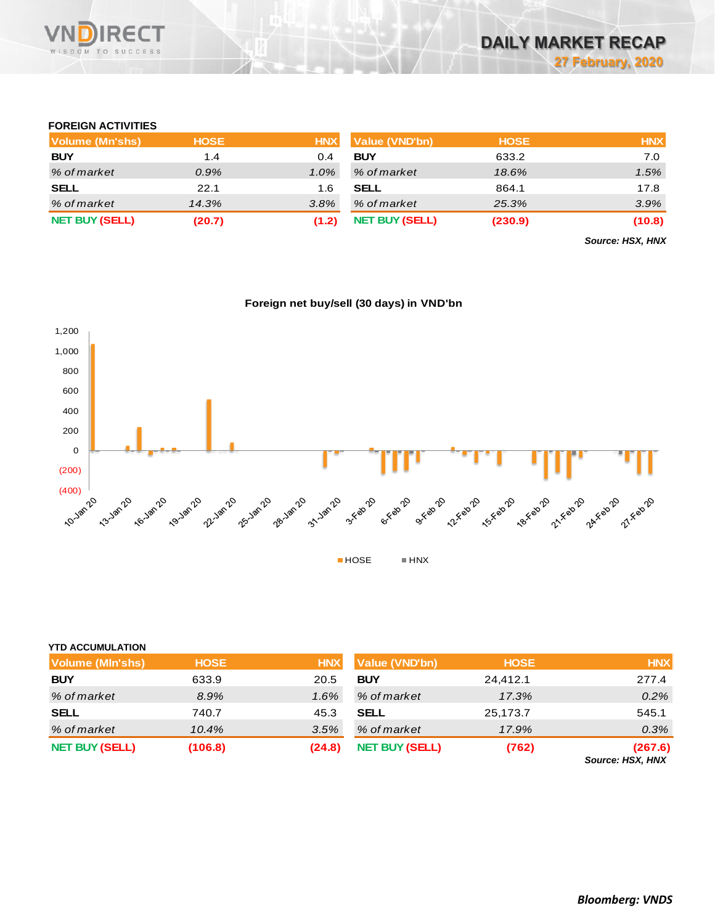

# **FOREIGN ACTIVITIES**

| Volume (Mn'shs)       | <b>HOSE</b> | <b>HNX</b> | Value (VND'bn)        | <b>HOSE</b> | <b>HNX</b> |
|-----------------------|-------------|------------|-----------------------|-------------|------------|
| <b>BUY</b>            | 1.4         | 0.4        | <b>BUY</b>            | 633.2       | 7.0        |
| % of market           | $0.9\%$     | $1.0\%$    | % of market           | 18.6%       | 1.5%       |
| <b>SELL</b>           | 22.1        | 1.6        | <b>SELL</b>           | 864.1       | 17.8       |
| % of market           | 14.3%       | 3.8%       | % of market           | 25.3%       | $3.9\%$    |
| <b>NET BUY (SELL)</b> | (20.7)      | (1.2)      | <b>NET BUY (SELL)</b> | (230.9)     | (10.8)     |

*Source: HSX, HNX*



# **Foreign net buy/sell (30 days) in VND'bn**

| <b>YTD ACCUMULATION</b> |             |            |                       |             |                                    |
|-------------------------|-------------|------------|-----------------------|-------------|------------------------------------|
| <b>Volume (MIn'shs)</b> | <b>HOSE</b> | <b>HNX</b> | <b>Value (VND'bn)</b> | <b>HOSE</b> | <b>HNX</b>                         |
| <b>BUY</b>              | 633.9       | 20.5       | <b>BUY</b>            | 24.412.1    | 277.4                              |
| % of market             | 8.9%        | 1.6%       | % of market           | 17.3%       | 0.2%                               |
| <b>SELL</b>             | 740.7       | 45.3       | <b>SELL</b>           | 25,173.7    | 545.1                              |
| % of market             | 10.4%       | 3.5%       | % of market           | 17.9%       | 0.3%                               |
| <b>NET BUY (SELL)</b>   | (106.8)     | (24.8)     | <b>NET BUY (SELL)</b> | (762)       | (267.6)<br><b>Source: HSX, HNX</b> |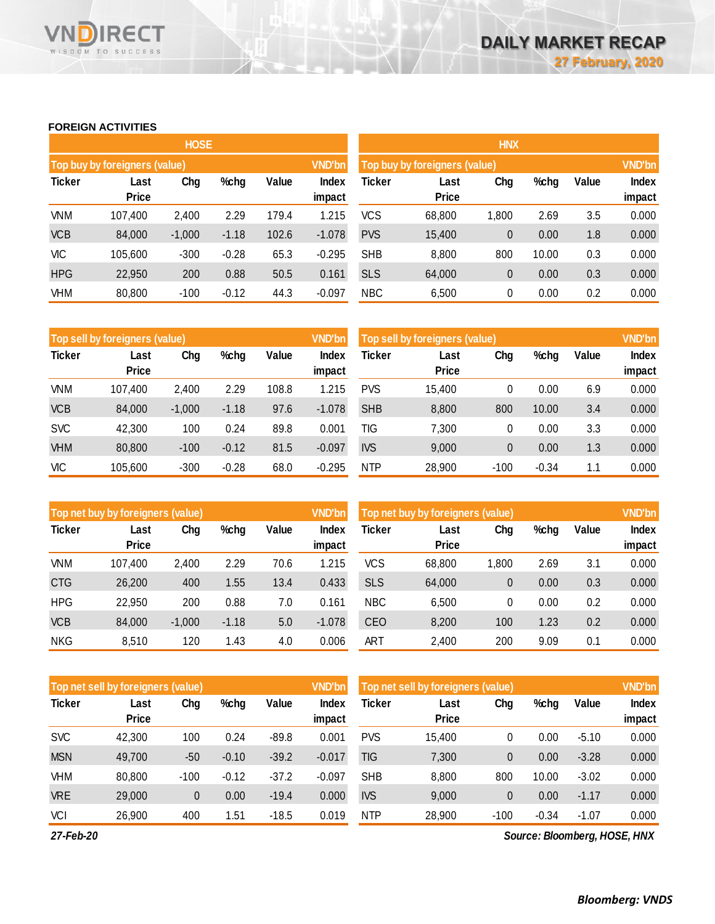### **FOREIGN ACTIVITIES**

WISDOM TO SUCCESS

VND

**RECT** 

|               |                               | <b>HOSE</b> |         |       |                 | <b>HNX</b>                                     |                      |       |       |       |                        |  |
|---------------|-------------------------------|-------------|---------|-------|-----------------|------------------------------------------------|----------------------|-------|-------|-------|------------------------|--|
|               | Top buy by foreigners (value) |             |         |       | <b>VND'bn</b>   | <b>VND'bn</b><br>Top buy by foreigners (value) |                      |       |       |       |                        |  |
| <b>Ticker</b> | Last<br><b>Price</b>          | Chg         | %chg    | Value | Index<br>impact | Ticker                                         | Last<br><b>Price</b> | Chg   | %chg  | Value | <b>Index</b><br>impact |  |
| <b>VNM</b>    | 107,400                       | 2,400       | 2.29    | 179.4 | 1.215           | <b>VCS</b>                                     | 68,800               | 1,800 | 2.69  | 3.5   | 0.000                  |  |
| <b>VCB</b>    | 84,000                        | $-1,000$    | $-1.18$ | 102.6 | $-1.078$        | <b>PVS</b>                                     | 15,400               | 0     | 0.00  | 1.8   | 0.000                  |  |
| VIC           | 105,600                       | $-300$      | $-0.28$ | 65.3  | $-0.295$        | <b>SHB</b>                                     | 8,800                | 800   | 10.00 | 0.3   | 0.000                  |  |
| <b>HPG</b>    | 22,950                        | 200         | 0.88    | 50.5  | 0.161           | <b>SLS</b>                                     | 64,000               | 0     | 0.00  | 0.3   | 0.000                  |  |
| <b>VHM</b>    | 80,800                        | $-100$      | $-0.12$ | 44.3  | $-0.097$        | <b>NBC</b>                                     | 6,500                | 0     | 0.00  | 0.2   | 0.000                  |  |

|               | Top sell by foreigners (value) |          |         |       | <b>VND'bn</b>   | Top sell by foreigners (value) |                      |        |         |       |        |  |
|---------------|--------------------------------|----------|---------|-------|-----------------|--------------------------------|----------------------|--------|---------|-------|--------|--|
| <b>Ticker</b> | Last<br><b>Price</b>           | Chg      | %chg    | Value | Index<br>impact | Ticker                         | Last<br><b>Price</b> | Chg    | %chg    | Value | Index  |  |
|               |                                |          |         |       |                 |                                |                      |        |         |       | impact |  |
| VNM           | 107,400                        | 2,400    | 2.29    | 108.8 | 1.215           | <b>PVS</b>                     | 15.400               | 0      | 0.00    | 6.9   | 0.000  |  |
| <b>VCB</b>    | 84.000                         | $-1.000$ | $-1.18$ | 97.6  | $-1.078$        | <b>SHB</b>                     | 8,800                | 800    | 10.00   | 3.4   | 0.000  |  |
| <b>SVC</b>    | 42,300                         | 100      | 0.24    | 89.8  | 0.001           | TIG                            | 7,300                | 0      | 0.00    | 3.3   | 0.000  |  |
| <b>VHM</b>    | 80,800                         | $-100$   | $-0.12$ | 81.5  | $-0.097$        | <b>IVS</b>                     | 9,000                | 0      | 0.00    | 1.3   | 0.000  |  |
| <b>VIC</b>    | 105,600                        | $-300$   | $-0.28$ | 68.0  | $-0.295$        | <b>NTP</b>                     | 28.900               | $-100$ | $-0.34$ | 1.1   | 0.000  |  |

|               | Top net buy by foreigners (value) |          |         |       | <b>VND'bn</b>   | Top net buy by foreigners (value) |                      | <b>VND'bn</b> |      |       |                 |
|---------------|-----------------------------------|----------|---------|-------|-----------------|-----------------------------------|----------------------|---------------|------|-------|-----------------|
| <b>Ticker</b> | Last<br><b>Price</b>              | Chg      | %chg    | Value | Index<br>impact | Ticker                            | Last<br><b>Price</b> | Chg           | %chg | Value | Index<br>impact |
| VNM           | 107,400                           | 2,400    | 2.29    | 70.6  | 1.215           | <b>VCS</b>                        | 68,800               | 1,800         | 2.69 | 3.1   | 0.000           |
| <b>CTG</b>    | 26,200                            | 400      | 1.55    | 13.4  | 0.433           | <b>SLS</b>                        | 64,000               | 0             | 0.00 | 0.3   | 0.000           |
| <b>HPG</b>    | 22,950                            | 200      | 0.88    | 7.0   | 0.161           | <b>NBC</b>                        | 6,500                | 0             | 0.00 | 0.2   | 0.000           |
| <b>VCB</b>    | 84,000                            | $-1,000$ | $-1.18$ | 5.0   | $-1.078$        | <b>CEO</b>                        | 8,200                | 100           | 1.23 | 0.2   | 0.000           |
| <b>NKG</b>    | 8,510                             | 120      | 1.43    | 4.0   | 0.006           | <b>ART</b>                        | 2.400                | 200           | 9.09 | 0.1   | 0.000           |

|               | Top net sell by foreigners (value) |                      |         |         | <b>VND'bn</b> | Top net sell by foreigners (value) | <b>VND'bn</b> |        |         |         |              |
|---------------|------------------------------------|----------------------|---------|---------|---------------|------------------------------------|---------------|--------|---------|---------|--------------|
| <b>Ticker</b> | Last                               | Value<br>Chg<br>%chg |         |         | Index         | Ticker                             | Last          | Chg    | %chg    | Value   | <b>Index</b> |
|               | <b>Price</b>                       |                      |         |         | impact        |                                    | <b>Price</b>  |        |         |         | impact       |
| <b>SVC</b>    | 42,300                             | 100                  | 0.24    | $-89.8$ | 0.001         | <b>PVS</b>                         | 15,400        | 0      | 0.00    | $-5.10$ | 0.000        |
| <b>MSN</b>    | 49,700                             | $-50$                | $-0.10$ | $-39.2$ | $-0.017$      | TIG                                | 7,300         | 0      | 0.00    | $-3.28$ | 0.000        |
| VHM           | 80,800                             | $-100$               | $-0.12$ | $-37.2$ | $-0.097$      | <b>SHB</b>                         | 8,800         | 800    | 10.00   | $-3.02$ | 0.000        |
| <b>VRE</b>    | 29,000                             | 0                    | 0.00    | $-19.4$ | 0.000         | <b>IVS</b>                         | 9,000         | 0      | 0.00    | $-1.17$ | 0.000        |
| VCI           | 26,900                             | 400                  | 1.51    | $-18.5$ | 0.019         | <b>NTP</b>                         | 28,900        | $-100$ | $-0.34$ | $-1.07$ | 0.000        |

*27-Feb-20*

*Source: Bloomberg, HOSE, HNX*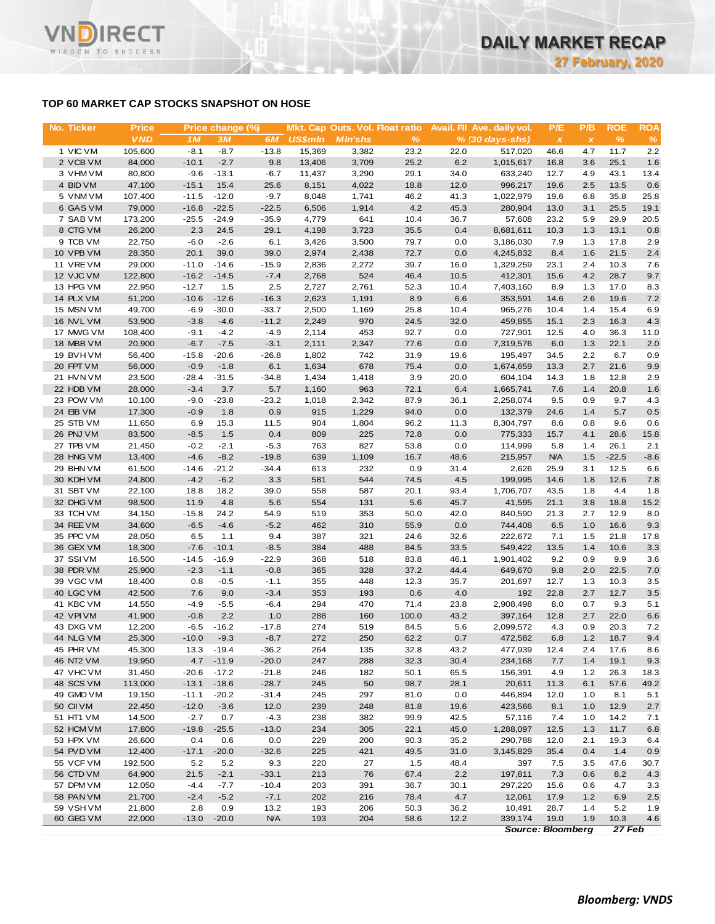# **TOP 60 MARKET CAP STOCKS SNAPSHOT ON HOSE**

**RECT** 

WISDOM TO SUCCESS

VND

| No. Ticker             | <b>Price</b>     |                 | Price change (%) |                 |                | Mkt. Cap Outs. Vol. Float ratio |              |              | Avail. Fil Ave. daily vol. | P/E          | P/B          | <b>ROE</b>   | <b>ROA</b>  |
|------------------------|------------------|-----------------|------------------|-----------------|----------------|---------------------------------|--------------|--------------|----------------------------|--------------|--------------|--------------|-------------|
|                        | <b>VND</b>       | 1M              | 3M               | 6M              | <b>US\$mln</b> | <b>MIn'shs</b>                  | $\%$         |              | $% (30 days-shs)$          | $\pmb{\chi}$ | $\pmb{\chi}$ | $\%$         | %           |
| 1 VIC VM               | 105,600          | $-8.1$          | $-8.7$           | $-13.8$         | 15.369         | 3,382                           | 23.2         | 22.0         | 517,020                    | 46.6         | 4.7          | 11.7         | 2.2         |
| 2 VCB VM               | 84,000           | $-10.1$         | $-2.7$           | 9.8             | 13,406         | 3,709                           | 25.2         | 6.2          | 1,015,617                  | 16.8         | 3.6          | 25.1         | 1.6         |
| 3 VHM VM               | 80,800           | $-9.6$          | $-13.1$          | $-6.7$          | 11,437         | 3,290                           | 29.1         | 34.0         | 633,240                    | 12.7         | 4.9          | 43.1         | 13.4        |
| 4 BID VM               | 47,100           | $-15.1$         | 15.4             | 25.6            | 8,151          | 4,022                           | 18.8         | 12.0         | 996,217                    | 19.6         | 2.5          | 13.5         | 0.6         |
| 5 VNM VM               | 107,400          | $-11.5$         | $-12.0$          | $-9.7$          | 8,048          | 1,741                           | 46.2         | 41.3         | 1,022,979                  | 19.6         | 6.8          | 35.8         | 25.8        |
| 6 GAS VM               | 79,000           | $-16.8$         | $-22.5$          | $-22.5$         | 6,506          | 1,914                           | 4.2          | 45.3         | 280,904                    | 13.0         | 3.1          | 25.5         | 19.1        |
| 7 SAB VM               | 173,200          | $-25.5$         | $-24.9$          | $-35.9$         | 4,779          | 641                             | 10.4         | 36.7         | 57,608                     | 23.2         | 5.9          | 29.9         | 20.5        |
| 8 CTG VM               | 26,200           | 2.3             | 24.5             | 29.1            | 4,198          | 3,723                           | 35.5         | 0.4          | 8,681,611                  | 10.3         | 1.3          | 13.1         | 0.8         |
| 9 TCB VM               | 22,750           | $-6.0$          | $-2.6$           | 6.1             | 3,426          | 3,500                           | 79.7         | 0.0          | 3,186,030                  | 7.9          | 1.3          | 17.8<br>21.5 | 2.9         |
| 10 VPB VM<br>11 VREVM  | 28,350<br>29,000 | 20.1<br>$-11.0$ | 39.0<br>$-14.6$  | 39.0<br>$-15.9$ | 2,974<br>2,836 | 2,438<br>2,272                  | 72.7<br>39.7 | 0.0<br>16.0  | 4,245,832<br>1,329,259     | 8.4<br>23.1  | 1.6<br>2.4   | 10.3         | 2.4         |
| 12 VJC VM              | 122,800          | $-16.2$         | $-14.5$          | $-7.4$          | 2,768          | 524                             | 46.4         | 10.5         | 412,301                    | 15.6         | 4.2          | 28.7         | 7.6<br>9.7  |
| 13 HPG VM              | 22,950           | $-12.7$         | 1.5              | 2.5             | 2,727          | 2,761                           | 52.3         | 10.4         | 7,403,160                  | 8.9          | 1.3          | 17.0         | 8.3         |
| 14 PLX VM              | 51,200           | $-10.6$         | $-12.6$          | $-16.3$         | 2,623          | 1,191                           | 8.9          | 6.6          | 353,591                    | 14.6         | 2.6          | 19.6         | 7.2         |
| 15 MSN VM              | 49,700           | $-6.9$          | $-30.0$          | $-33.7$         | 2,500          | 1,169                           | 25.8         | 10.4         | 965,276                    | 10.4         | 1.4          | 15.4         | 6.9         |
| 16 NVL VM              | 53,900           | $-3.8$          | $-4.6$           | $-11.2$         | 2,249          | 970                             | 24.5         | 32.0         | 459,855                    | 15.1         | 2.3          | 16.3         | 4.3         |
| 17 MWG VM              | 108,400          | $-9.1$          | $-4.2$           | $-4.9$          | 2,114          | 453                             | 92.7         | 0.0          | 727,901                    | 12.5         | 4.0          | 36.3         | 11.0        |
| 18 MBB VM              | 20,900           | $-6.7$          | $-7.5$           | $-3.1$          | 2,111          | 2,347                           | 77.6         | 0.0          | 7,319,576                  | 6.0          | 1.3          | 22.1         | 2.0         |
| 19 BVHVM               | 56,400           | $-15.8$         | $-20.6$          | $-26.8$         | 1,802          | 742                             | 31.9         | 19.6         | 195,497                    | 34.5         | 2.2          | 6.7          | 0.9         |
| 20 FPT VM              | 56,000           | $-0.9$          | $-1.8$           | 6.1             | 1,634          | 678                             | 75.4         | 0.0          | 1,674,659                  | 13.3         | 2.7          | 21.6         | 9.9         |
| 21 HVN VM              | 23,500           | $-28.4$         | $-31.5$          | $-34.8$         | 1,434          | 1,418                           | 3.9          | 20.0         | 604,104                    | 14.3         | 1.8          | 12.8         | 2.9         |
| 22 HDB VM              | 28,000           | $-3.4$          | 3.7              | 5.7             | 1,160          | 963                             | 72.1         | 6.4          | 1,665,741                  | 7.6          | 1.4          | 20.8         | 1.6         |
| 23 POW VM              | 10,100           | $-9.0$          | $-23.8$          | $-23.2$         | 1,018          | 2,342                           | 87.9         | 36.1         | 2,258,074                  | 9.5          | 0.9          | 9.7          | 4.3         |
| 24 EIB VM              | 17,300           | $-0.9$          | 1.8              | 0.9             | 915            | 1,229                           | 94.0         | 0.0          | 132,379                    | 24.6         | 1.4          | 5.7          | 0.5         |
| 25 STB VM              | 11,650           | 6.9             | 15.3             | 11.5            | 904            | 1,804                           | 96.2         | 11.3         | 8,304,797                  | 8.6          | 0.8          | 9.6          | 0.6         |
| 26 PNJ VM              | 83,500           | $-8.5$          | 1.5              | 0.4             | 809            | 225                             | 72.8         | 0.0          | 775,333                    | 15.7         | 4.1          | 28.6         | 15.8        |
| 27 TPB VM              | 21,450           | $-0.2$          | $-2.1$           | $-5.3$          | 763            | 827                             | 53.8         | 0.0          | 114,999                    | 5.8          | 1.4          | 26.1         | 2.1         |
| 28 HNG VM              | 13,400           | $-4.6$          | $-8.2$           | $-19.8$         | 639            | 1,109                           | 16.7         | 48.6         | 215,957                    | <b>N/A</b>   | 1.5          | $-22.5$      | $-8.6$      |
| 29 BHN VM              | 61,500           | $-14.6$         | $-21.2$          | $-34.4$         | 613            | 232                             | 0.9          | 31.4         | 2,626                      | 25.9         | 3.1          | 12.5         | 6.6         |
| 30 KDH VM              | 24,800           | $-4.2$          | $-6.2$           | 3.3             | 581            | 544                             | 74.5         | 4.5          | 199,995                    | 14.6         | 1.8          | 12.6         | 7.8         |
| 31 SBT VM              | 22,100           | 18.8            | 18.2             | 39.0            | 558            | 587                             | 20.1         | 93.4         | 1,706,707                  | 43.5         | 1.8          | 4.4          | 1.8         |
| 32 DHG VM              | 98,500           | 11.9            | 4.8              | 5.6             | 554            | 131                             | 5.6          | 45.7         | 41,595                     | 21.1         | 3.8          | 18.8         | 15.2        |
| 33 TCH VM              | 34,150           | $-15.8$         | 24.2             | 54.9            | 519            | 353                             | 50.0         | 42.0         | 840,590                    | 21.3         | 2.7          | 12.9         | 8.0         |
| 34 REE VM              | 34,600           | $-6.5$          | $-4.6$           | $-5.2$          | 462<br>387     | 310                             | 55.9         | 0.0          | 744,408                    | 6.5<br>7.1   | 1.0          | 16.6         | 9.3         |
| 35 PPC VM<br>36 GEX VM | 28,050<br>18,300 | 6.5<br>$-7.6$   | 1.1<br>$-10.1$   | 9.4<br>$-8.5$   | 384            | 321<br>488                      | 24.6<br>84.5 | 32.6<br>33.5 | 222,672<br>549,422         | 13.5         | 1.5<br>1.4   | 21.8<br>10.6 | 17.8<br>3.3 |
| 37 SSI VM              | 16,500           | $-14.5$         | $-16.9$          | $-22.9$         | 368            | 518                             | 83.8         | 46.1         | 1,901,402                  | 9.2          | 0.9          | 9.9          | 3.6         |
| 38 PDR VM              | 25,900           | $-2.3$          | $-1.1$           | $-0.8$          | 365            | 328                             | 37.2         | 44.4         | 649,670                    | 9.8          | 2.0          | 22.5         | 7.0         |
| 39 VGC VM              | 18,400           | 0.8             | $-0.5$           | $-1.1$          | 355            | 448                             | 12.3         | 35.7         | 201,697                    | 12.7         | 1.3          | 10.3         | 3.5         |
| 40 LGC VM              | 42,500           | 7.6             | 9.0              | $-3.4$          | 353            | 193                             | 0.6          | 4.0          | 192                        | 22.8         | 2.7          | 12.7         | 3.5         |
| 41 KBC VM              | 14,550           | $-4.9$          | $-5.5$           | $-6.4$          | 294            | 470                             | 71.4         | 23.8         | 2,908,498                  | 8.0          | 0.7          | 9.3          | 5.1         |
| 42 VPIVM               | 41,900           | $-0.8$          | 2.2              | 1.0             | 288            | 160                             | 100.0        | 43.2         | 397,164                    | 12.8         | 2.7          | 22.0         | 6.6         |
| 43 DXG VM              | 12,200           | $-6.5$          | $-16.2$          | $-17.8$         | 274            | 519                             | 84.5         | 5.6          | 2,099,572                  | 4.3          | 0.9          | 20.3         | 7.2         |
| 44 NLG VM              | 25,300           | $-10.0$         | $-9.3$           | $-8.7$          | 272            | 250                             | 62.2         | 0.7          | 472,582                    | 6.8          | 1.2          | 18.7         | 9.4         |
| 45 PHR VM              | 45,300           | 13.3            | $-19.4$          | $-36.2$         | 264            | 135                             | 32.8         | 43.2         | 477,939                    | 12.4         | 2.4          | 17.6         | 8.6         |
| 46 NT2 VM              | 19,950           | 4.7             | $-11.9$          | $-20.0$         | 247            | 288                             | 32.3         | 30.4         | 234,168                    | 7.7          | 1.4          | 19.1         | 9.3         |
| 47 VHC VM              | 31,450           | $-20.6$         | $-17.2$          | $-21.8$         | 246            | 182                             | 50.1         | 65.5         | 156,391                    | 4.9          | 1.2          | 26.3         | 18.3        |
| 48 SCS VM              | 113,000          | $-13.1$         | $-18.6$          | $-28.7$         | 245            | 50                              | 98.7         | 28.1         | 20,611                     | 11.3         | 6.1          | 57.6         | 49.2        |
| 49 GMD VM              | 19,150           | $-11.1$         | $-20.2$          | $-31.4$         | 245            | 297                             | 81.0         | 0.0          | 446,894                    | 12.0         | 1.0          | 8.1          | 5.1         |
| 50 CII VM              | 22,450           | $-12.0$         | $-3.6$           | 12.0            | 239            | 248                             | 81.8         | 19.6         | 423,566                    | 8.1          | 1.0          | 12.9         | 2.7         |
| 51 HT1 VM              | 14,500           | $-2.7$          | 0.7              | $-4.3$          | 238            | 382                             | 99.9         | 42.5         | 57,116                     | 7.4          | 1.0          | 14.2         | 7.1         |
| 52 HCM VM              | 17,800           | $-19.8$         | $-25.5$          | $-13.0$         | 234            | 305                             | 22.1         | 45.0         | 1,288,097                  | 12.5         | 1.3          | 11.7         | $6.8\,$     |
| 53 HPX VM              | 26,600           | 0.4             | 0.6              | 0.0             | 229            | 200                             | 90.3         | 35.2         | 290,788                    | 12.0         | 2.1          | 19.3         | 6.4         |
| 54 PVD VM              | 12,400           | $-17.1$         | $-20.0$          | $-32.6$         | 225            | 421                             | 49.5         | 31.0         | 3,145,829                  | 35.4         | 0.4          | 1.4          | 0.9         |
| 55 VCF VM              | 192,500          | 5.2             | 5.2              | 9.3             | 220            | 27                              | 1.5          | 48.4         | 397                        | 7.5          | 3.5          | 47.6         | 30.7        |
| 56 CTD VM              | 64,900           | 21.5            | $-2.1$           | $-33.1$         | 213            | 76                              | 67.4         | 2.2          | 197,811                    | 7.3          | 0.6          | 8.2          | 4.3         |
| 57 DPM VM              | 12,050           | $-4.4$          | $-7.7$           | $-10.4$         | 203            | 391                             | 36.7         | 30.1         | 297,220                    | 15.6         | 0.6          | 4.7          | 3.3         |
| 58 PAN VM              | 21,700           | $-2.4$          | $-5.2$           | $-7.1$          | 202            | 216                             | 78.4         | 4.7          | 12,061                     | 17.9         | 1.2          | 6.9          | 2.5         |
| 59 VSHVM               | 21,800           | 2.8             | 0.9              | 13.2            | 193            | 206                             | 50.3         | 36.2         | 10,491                     | 28.7         | 1.4          | 5.2          | 1.9         |
| 60 GEG VM              | 22,000           | $-13.0$         | $-20.0$          | <b>N/A</b>      | 193            | 204                             | 58.6         | 12.2         | 339,174                    | 19.0         | 1.9          | 10.3         | 4.6         |